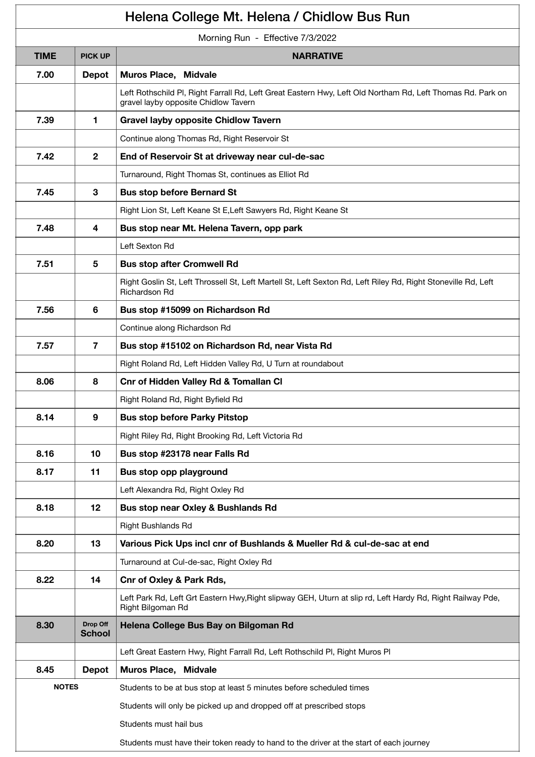| Helena College Mt. Helena / Chidlow Bus Run |                           |                                                                                                                                                    |  |  |
|---------------------------------------------|---------------------------|----------------------------------------------------------------------------------------------------------------------------------------------------|--|--|
| Morning Run - Effective 7/3/2022            |                           |                                                                                                                                                    |  |  |
| <b>TIME</b>                                 | <b>PICK UP</b>            | <b>NARRATIVE</b>                                                                                                                                   |  |  |
| 7.00                                        | <b>Depot</b>              | Muros Place, Midvale                                                                                                                               |  |  |
|                                             |                           | Left Rothschild PI, Right Farrall Rd, Left Great Eastern Hwy, Left Old Northam Rd, Left Thomas Rd. Park on<br>gravel layby opposite Chidlow Tavern |  |  |
| 7.39                                        | 1.                        | <b>Gravel layby opposite Chidlow Tavern</b>                                                                                                        |  |  |
|                                             |                           | Continue along Thomas Rd, Right Reservoir St                                                                                                       |  |  |
| 7.42                                        | $\mathbf{2}$              | End of Reservoir St at driveway near cul-de-sac                                                                                                    |  |  |
|                                             |                           | Turnaround, Right Thomas St, continues as Elliot Rd                                                                                                |  |  |
| 7.45                                        | 3                         | <b>Bus stop before Bernard St</b>                                                                                                                  |  |  |
|                                             |                           | Right Lion St, Left Keane St E, Left Sawyers Rd, Right Keane St                                                                                    |  |  |
| 7.48                                        | 4                         | Bus stop near Mt. Helena Tavern, opp park                                                                                                          |  |  |
|                                             |                           | Left Sexton Rd                                                                                                                                     |  |  |
| 7.51                                        | 5                         | <b>Bus stop after Cromwell Rd</b>                                                                                                                  |  |  |
|                                             |                           | Right Goslin St, Left Throssell St, Left Martell St, Left Sexton Rd, Left Riley Rd, Right Stoneville Rd, Left<br>Richardson Rd                     |  |  |
| 7.56                                        | 6                         | Bus stop #15099 on Richardson Rd                                                                                                                   |  |  |
|                                             |                           | Continue along Richardson Rd                                                                                                                       |  |  |
| 7.57                                        | $\overline{7}$            | Bus stop #15102 on Richardson Rd, near Vista Rd                                                                                                    |  |  |
|                                             |                           | Right Roland Rd, Left Hidden Valley Rd, U Turn at roundabout                                                                                       |  |  |
| 8.06                                        | 8                         | <b>Cnr of Hidden Valley Rd &amp; Tomallan Cl</b>                                                                                                   |  |  |
|                                             |                           | Right Roland Rd, Right Byfield Rd                                                                                                                  |  |  |
| 8.14                                        | 9                         | <b>Bus stop before Parky Pitstop</b>                                                                                                               |  |  |
|                                             |                           | Right Riley Rd, Right Brooking Rd, Left Victoria Rd                                                                                                |  |  |
| 8.16                                        | 10                        | Bus stop #23178 near Falls Rd                                                                                                                      |  |  |
| 8.17                                        | 11                        | Bus stop opp playground                                                                                                                            |  |  |
|                                             |                           | Left Alexandra Rd, Right Oxley Rd                                                                                                                  |  |  |
| 8.18                                        | 12                        | Bus stop near Oxley & Bushlands Rd                                                                                                                 |  |  |
|                                             |                           | Right Bushlands Rd                                                                                                                                 |  |  |
| 8.20                                        | 13                        | Various Pick Ups incl cnr of Bushlands & Mueller Rd & cul-de-sac at end                                                                            |  |  |
|                                             |                           | Turnaround at Cul-de-sac, Right Oxley Rd                                                                                                           |  |  |
| 8.22                                        | 14                        | <b>Cnr of Oxley &amp; Park Rds,</b>                                                                                                                |  |  |
|                                             |                           | Left Park Rd, Left Grt Eastern Hwy, Right slipway GEH, Uturn at slip rd, Left Hardy Rd, Right Railway Pde,<br>Right Bilgoman Rd                    |  |  |
| 8.30                                        | Drop Off<br><b>School</b> | Helena College Bus Bay on Bilgoman Rd                                                                                                              |  |  |
|                                             |                           | Left Great Eastern Hwy, Right Farrall Rd, Left Rothschild Pl, Right Muros Pl                                                                       |  |  |
| 8.45                                        | <b>Depot</b>              | Muros Place, Midvale                                                                                                                               |  |  |
| <b>NOTES</b>                                |                           | Students to be at bus stop at least 5 minutes before scheduled times                                                                               |  |  |
|                                             |                           | Students will only be picked up and dropped off at prescribed stops                                                                                |  |  |
|                                             |                           | Students must hail bus                                                                                                                             |  |  |
|                                             |                           | Students must have their token ready to hand to the driver at the start of each journey                                                            |  |  |